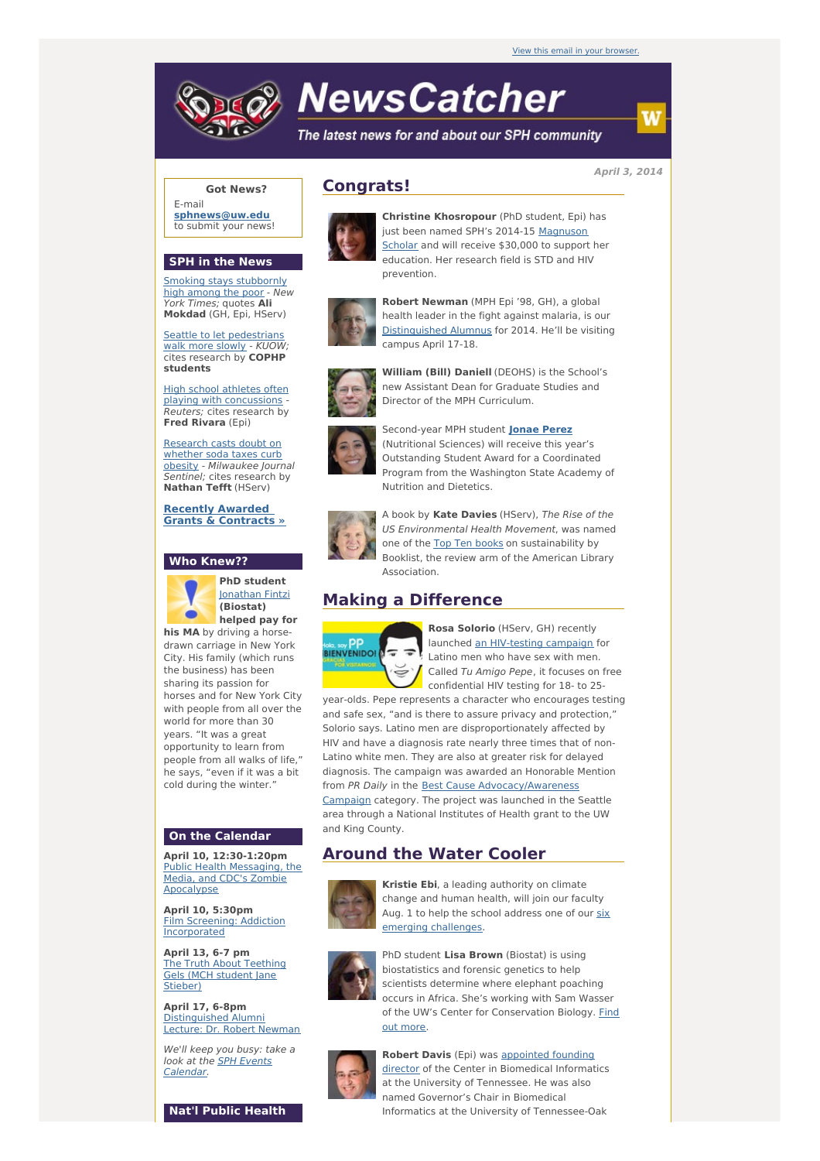

# **NewsCatcher**

The latest news for and about our SPH community

**April 3, 2014**

## **Got News?**

E-mail **[sphnews@uw.edu](mailto:sphnews@uw.edu)** to submit your news!

#### **SPH in the News**

Smoking stays [stubbornly](http://engage.washington.edu/site/R?i=wDZv5FOSXqooyYFhNqymHQ) high among the poor - New York Times; quotes **Ali Mokdad** (GH, Epi, HServ)

Seattle to let [pedestrians](http://engage.washington.edu/site/R?i=S7HFsynhaMFxLhQ0FTABog) walk more slowly - KUOW; cites research by **COPHP students**

High school athletes often playing with [concussions](http://engage.washington.edu/site/R?i=AZqN3G-PHJ0QpM17CXpJuA) - Reuters; cites research by **Fred Rivara** (Epi)

Research casts doubt on whether soda taxes curb obesity - [Milwaukee](http://engage.washington.edu/site/R?i=j2ZnvJJQgkZrcq_DWs0hKw) Journal Sentinel; cites research by **Nathan Tefft** (HServ)

**Recently Awarded Grants & [Contracts](http://engage.washington.edu/site/R?i=DeKW_KDH2BcSQsame3xzKQ) »**

#### **Who Knew??**



**PhD student** [Jonathan](http://engage.washington.edu/site/R?i=cVigZJx6j-5CcDK0jzUoow) Fintzi **(Biostat) helped pay for**

**his MA** by driving a horsedrawn carriage in New York City. His family (which runs the business) has been sharing its passion for horses and for New York City with people from all over the world for more than 30 years. "It was a great opportunity to learn from people from all walks of life," he says, "even if it was a bit cold during the winter."

## **On the Calendar**

**April 10, 12:30-1:20pm** Public Health [Messaging,](http://engage.washington.edu/site/R?i=5T84wixMl58dRdRyPzxdsA) the Media, and CDC's Zombie Apocalypse

**April 10, 5:30pm** Film Screening: Addiction **[Incorporated](http://engage.washington.edu/site/R?i=eJMsXysZIcF8gH0jqwTWmA)** 

**April 13, 6-7 pm** The Truth About [Teething](http://engage.washington.edu/site/R?i=R5Bj8uHi1VIlNKW1v0tZtg) Gels (MCH student Jane Stieber)

**April 17, 6-8pm** [Distinguished](http://engage.washington.edu/site/R?i=nxLJoeGvLUpvy5mfSZ8tBg) Alumni Lecture: Dr. Robert Newman

We'll keep you busy: take a look at the **SPH Events** [Calendar.](http://engage.washington.edu/site/R?i=QV0DygTXfFPA_iQi-QGJqg)

**Nat'l Public Health**

# **Congrats!**



**Christine Khosropour** (PhD student, Epi) has just been named SPH's 2014-15 [Magnuson](http://engage.washington.edu/site/R?i=gXRURzffxzVc2Va9AQAxww) Scholar and will receive \$30,000 to support her education. Her research field is STD and HIV prevention.



**Robert Newman** (MPH Epi '98, GH), a global health leader in the fight against malaria, is our [Distinguished](http://engage.washington.edu/site/R?i=_NoItOweW9k3gcPremX98g) Alumnus for 2014. He'll be visiting campus April 17-18.



**William (Bill) Daniell** (DEOHS) is the School's new Assistant Dean for Graduate Studies and Director of the MPH Curriculum.



Second-year MPH student **[Jonae](http://engage.washington.edu/site/R?i=i_GGsd7fzx9cBSnoNwQs3Q) Perez** (Nutritional Sciences) will receive this year's Outstanding Student Award for a Coordinated Program from the Washington State Academy of Nutrition and Dietetics.



A book by **Kate Davies** (HServ), The Rise of the US Environmental Health Movement, was named one of the Top Ten [books](http://engage.washington.edu/site/R?i=UQ0v7niI8UP78GqJqCWbqQ) on sustainability by Booklist, the review arm of the American Library Association.

## **Making a Difference**



**Rosa Solorio** (HServ, GH) recently launched an [HIV-testing](http://engage.washington.edu/site/R?i=J9RCXxa65-PSdEm-Ra6IiQ) campaign for Latino men who have sex with men. Called Tu Amigo Pepe, it focuses on free confidential HIV testing for 18- to 25-

year-olds. Pepe represents a character who encourages testing and safe sex, "and is there to assure privacy and protection," Solorio says. Latino men are disproportionately affected by HIV and have a diagnosis rate nearly three times that of non-Latino white men. They are also at greater risk for delayed diagnosis. The campaign was awarded an Honorable Mention from PR Daily in the Best Cause [Advocacy/Awareness](http://engage.washington.edu/site/R?i=ihuhQG3p6T7-91F_ijTCow) Campaign category. The project was launched in the Seattle area through a National Institutes of Health grant to the UW and King County.

# **Around the Water Cooler**



**Kristie Ebi**, a leading authority on climate change and human health, will join our faculty Aug. 1 to help the school address one of our six emerging [challenges.](http://engage.washington.edu/site/R?i=UQZ0LRs0eNSl1PsN0HGIYw)



PhD student **Lisa Brown** (Biostat) is using biostatistics and forensic genetics to help scientists determine where elephant poaching occurs in Africa. She's working with Sam Wasser of the UW's Center for [Conservation](http://engage.washington.edu/site/R?i=kIdb7un1sjRcTIdYyNFD_A) Biology. Find out more.



**Robert Davis** (Epi) was appointed founding director of the Center in [Biomedical](http://engage.washington.edu/site/R?i=gV3OvZNAISC4U_tM32tZRw) Informatics at the University of Tennessee. He was also named Governor's Chair in Biomedical Informatics at the University of Tennessee-Oak

w